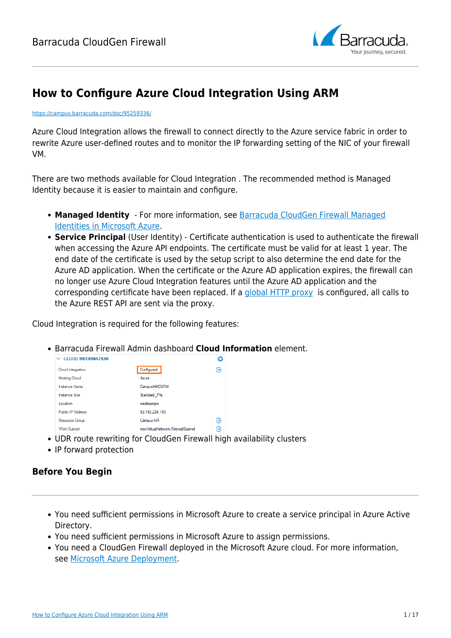

# **How to Configure Azure Cloud Integration Using ARM**

#### <https://campus.barracuda.com/doc/95259336/>

Azure Cloud Integration allows the firewall to connect directly to the Azure service fabric in order to rewrite Azure user-defined routes and to monitor the IP forwarding setting of the NIC of your firewall VM.

There are two methods available for Cloud Integration . The recommended method is Managed Identity because it is easier to maintain and configure.

- **Managed Identity** For more information, see [Barracuda CloudGen Firewall Managed](http://campus.barracuda.com/doc/95259343/) [Identities in Microsoft Azure.](http://campus.barracuda.com/doc/95259343/)
- **Service Principal** (User Identity) Certificate authentication is used to authenticate the firewall when accessing the Azure API endpoints. The certificate must be valid for at least 1 year. The end date of the certificate is used by the setup script to also determine the end date for the Azure AD application. When the certificate or the Azure AD application expires, the firewall can no longer use Azure Cloud Integration features until the Azure AD application and the corresponding certificate have been replaced. If a [global HTTP proxy](http://campus.barracuda.com/doc/95259209/) is configured, all calls to the Azure REST API are sent via the proxy.

Cloud Integration is required for the following features:

Barracuda Firewall Admin dashboard **Cloud Information** element.

| <b>CLOUD INFORMATION</b><br>$\checkmark$ |                                       | Ö |  |
|------------------------------------------|---------------------------------------|---|--|
| Cloud Integration                        | Configured                            | ⊛ |  |
| <b>Hosting Cloud</b>                     | Azure                                 |   |  |
| <b>Instance Name</b>                     | CampusHACGFW                          |   |  |
| <b>Instance Size</b>                     | Standard F1s                          |   |  |
| Location                                 | westeurope                            |   |  |
| <b>Public IP Address</b>                 | 52.142.226.140                        |   |  |
| Resource Group                           | Campus-HA                             | ⊝ |  |
| <b>VNet/Subnet</b>                       | new Virtual Network / Firewall Subnet | Э |  |

- UDR route rewriting for CloudGen Firewall high availability clusters
- IP forward protection

#### **Before You Begin**

- You need sufficient permissions in Microsoft Azure to create a service principal in Azure Active Directory.
- You need sufficient permissions in Microsoft Azure to assign permissions.
- You need a CloudGen Firewall deployed in the Microsoft Azure cloud. For more information, see [Microsoft Azure Deployment.](http://campus.barracuda.com/doc/95259232/)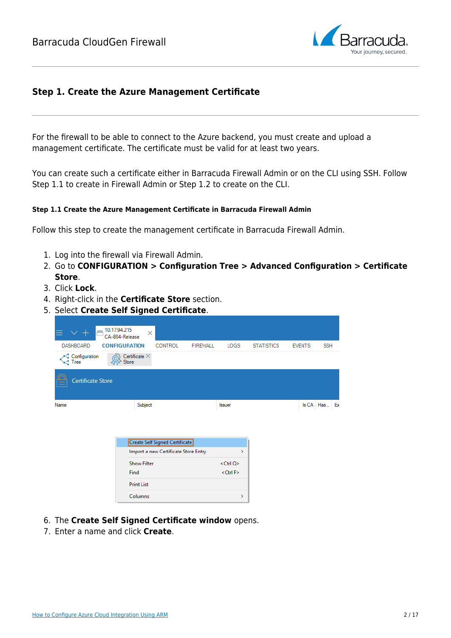

#### **Step 1. Create the Azure Management Certificate**

For the firewall to be able to connect to the Azure backend, you must create and upload a management certificate. The certificate must be valid for at least two years.

You can create such a certificate either in Barracuda Firewall Admin or on the CLI using SSH. Follow Step 1.1 to create in Firewall Admin or Step 1.2 to create on the CLI.

#### **Step 1.1 Create the Azure Management Certificate in Barracuda Firewall Admin**

Follow this step to create the management certificate in Barracuda Firewall Admin.

- 1. Log into the firewall via Firewall Admin.
- 2. Go to **CONFIGURATION > Configuration Tree > Advanced Configuration > Certificate Store**.
- 3. Click **Lock**.
- 4. Right-click in the **Certificate Store** section.
- 5. Select **Create Self Signed Certificate**.

| 10.17.94.215                              | $\times$<br>CA-804-Release             |                         |                   |                             |
|-------------------------------------------|----------------------------------------|-------------------------|-------------------|-----------------------------|
| <b>DASHBOARD</b>                          | <b>CONFIGURATION</b><br><b>CONTROL</b> | <b>FIREWALL</b><br>LOGS | <b>STATISTICS</b> | <b>SSH</b><br><b>EVENTS</b> |
| . Configuration<br>෬<br><b>Contract</b>   | Certificate $\times$<br><b>Store</b>   |                         |                   |                             |
| <b>Certificate Store</b><br>$\frac{1}{2}$ |                                        |                         |                   |                             |
| Name                                      | Subject                                | <b>Issuer</b>           |                   | Is CA Has Ex                |

| Create Self Signed Certificate       |                    |
|--------------------------------------|--------------------|
| Import a new Certificate Store Entry | ⋗                  |
| <b>Show Filter</b>                   | <ctrl o=""></ctrl> |
| Find                                 | $<$ Ctrl F $>$     |
| <b>Print List</b>                    |                    |
| Columns                              |                    |

- 6. The **Create Self Signed Certificate window** opens.
- 7. Enter a name and click **Create**.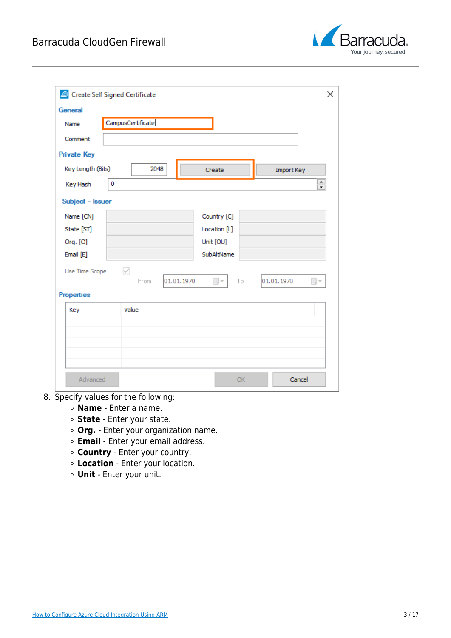

| General            |                   |                    |              |    |                                              |
|--------------------|-------------------|--------------------|--------------|----|----------------------------------------------|
| Name               | CampusCertificate |                    |              |    |                                              |
| Comment            |                   |                    |              |    |                                              |
| <b>Private Key</b> |                   |                    |              |    |                                              |
| Key Length (Bits)  |                   | 2048               | Create       |    | Import Key                                   |
| Key Hash           | $\mathbf 0$       |                    |              |    | $\blacktriangle$<br>$\overline{\phantom{0}}$ |
| Subject - Issuer   |                   |                    |              |    |                                              |
| Name [CN]          |                   |                    | Country [C]  |    |                                              |
| State [ST]         |                   |                    | Location [L] |    |                                              |
| Org. [O]           |                   |                    | Unit [OU]    |    |                                              |
| Email [E]          |                   |                    | SubAltName   |    |                                              |
| Use Time Scope     | ✓                 | 01.01.1970<br>From | $\boxplus$ – | To | 01.01.1970<br>$\boxplus$ –                   |
| <b>Properties</b>  |                   |                    |              |    |                                              |
| Key                | Value             |                    |              |    |                                              |
|                    |                   |                    |              |    |                                              |
|                    |                   |                    |              |    |                                              |
|                    |                   |                    |              |    |                                              |
|                    |                   |                    |              |    |                                              |

- 8. Specify values for the following:
	- **Name** Enter a name.
	- **State** Enter your state.
	- **Org.** Enter your organization name.
	- **Email** Enter your email address.
	- **Country** Enter your country.
	- **Location** Enter your location.
	- **Unit** Enter your unit.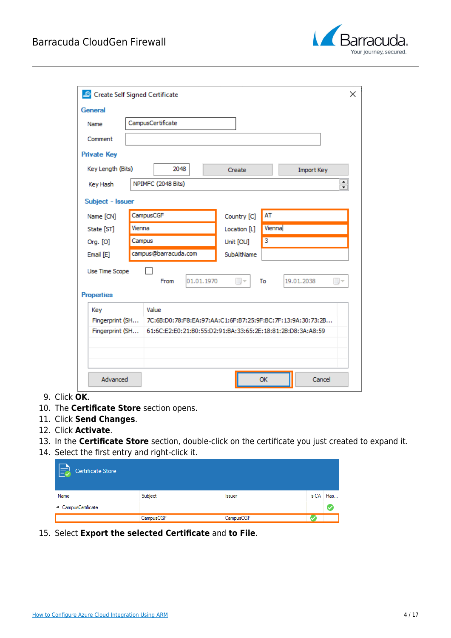

| General            |           |                      |            |              |                         |                                                             |
|--------------------|-----------|----------------------|------------|--------------|-------------------------|-------------------------------------------------------------|
| Name               |           | CampusCertificate    |            |              |                         |                                                             |
| Comment            |           |                      |            |              |                         |                                                             |
| <b>Private Key</b> |           |                      |            |              |                         |                                                             |
| Key Length (Bits)  |           | 2048                 |            | Create       |                         | Import Key                                                  |
| Key Hash           |           | NPIMFC (2048 Bits)   |            |              |                         | $\blacktriangle$<br>$\overline{\phantom{0}}$                |
| Subject - Issuer   |           |                      |            |              |                         |                                                             |
| Name [CN]          | CampusCGF |                      |            | Country [C]  | AT                      |                                                             |
| State [ST]         | Vienna    |                      |            | Location [L] | Vienna                  |                                                             |
| Org. [O]           | Campus    |                      |            | Unit [OU]    | $\overline{\mathbf{3}}$ |                                                             |
| Email [E]          |           | campus@barracuda.com |            | SubAltName   |                         |                                                             |
| Use Time Scope     |           |                      |            |              |                         |                                                             |
|                    |           | From                 | 01.01.1970 | ⊞∽           | To                      | 19.01.2038<br>⊞∽                                            |
| <b>Properties</b>  |           |                      |            |              |                         |                                                             |
| Key                |           | Value                |            |              |                         |                                                             |
| Fingerprint (SH    |           |                      |            |              |                         | 7C:6B:D0:78:F8:EA:97:AA:C1:6F:B7:25:9F:BC:7F:13:9A:30:73:2B |
| Fingerprint (SH    |           |                      |            |              |                         | 61:6C:E2:E0:21:B0:55:D2:91:BA:33:65:2E:18:81:2B:D8:3A:A8:59 |
|                    |           |                      |            |              |                         |                                                             |
|                    |           |                      |            |              |                         |                                                             |

- 9. Click **OK**.
- 10. The **Certificate Store** section opens.
- 11. Click **Send Changes**.
- 12. Click **Activate**.
- 13. In the **Certificate Store** section, double-click on the certificate you just created to expand it.
- 14. Select the first entry and right-click it.

| <b>Certificate Store</b><br>l=J |           |               |           |
|---------------------------------|-----------|---------------|-----------|
| Name                            | Subject   | <b>Issuer</b> | Is CA Has |
| 4 CampusCertificate             |           |               |           |
|                                 | CampusCGF | CampusCGF     |           |

15. Select **Export the selected Certificate** and **to File**.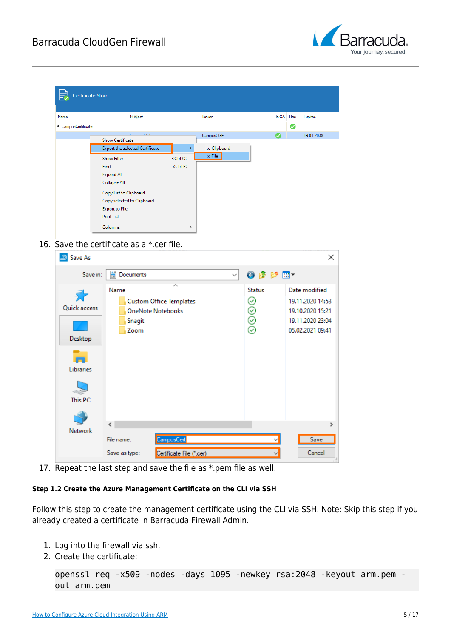

| <b>Certificate Store</b> |                                 |                    |              |   |                   |
|--------------------------|---------------------------------|--------------------|--------------|---|-------------------|
| Name                     | Subject                         |                    | Issuer       |   | Is CA Has Expires |
| ▲ CampusCertificate      |                                 |                    |              |   | Ø                 |
|                          | $C = 1$                         |                    | CampusCGF    | Ø | 19.01.2038        |
|                          | <b>Show Certificate</b>         |                    |              |   |                   |
|                          | Export the selected Certificate |                    | to Clipboard |   |                   |
|                          | <b>Show Filter</b>              | <ctrl q=""></ctrl> | to File      |   |                   |
|                          | Find                            | <ctrl f=""></ctrl> |              |   |                   |
|                          | <b>Expand All</b>               |                    |              |   |                   |
|                          | Collapse All                    |                    |              |   |                   |
|                          |                                 |                    |              |   |                   |
|                          | Copy List to Clipboard          |                    |              |   |                   |
|                          | Copy selected to Clipboard      |                    |              |   |                   |
|                          | <b>Export to File</b>           |                    |              |   |                   |
|                          | <b>Print List</b>               |                    |              |   |                   |
|                          | Columns                         | $\rightarrow$      |              |   |                   |

16. Save the certificate as a \*.cer file.

| Save As<br>౨                                    |                                                                                      |                                      | ×                                                                                             |
|-------------------------------------------------|--------------------------------------------------------------------------------------|--------------------------------------|-----------------------------------------------------------------------------------------------|
| Save in:                                        | 晉<br>Documents<br>$\checkmark$                                                       | ●まず皿▼                                |                                                                                               |
| Quick access<br>Desktop<br>Libraries<br>This PC | Name<br><b>Custom Office Templates</b><br><b>OneNote Notebooks</b><br>Snagit<br>Zoom | <b>Status</b><br>☺<br>$\circledcirc$ | Date modified<br>19.11.2020 14:53<br>19.10.2020 15:21<br>19.11.2020 23:04<br>05.02.2021 09:41 |
| Network                                         | $\overline{\phantom{a}}$                                                             |                                      | $\rightarrow$                                                                                 |
|                                                 | CampusCert<br>File name:                                                             |                                      | Save                                                                                          |
|                                                 | Certificate File (*.cer)<br>Save as type:                                            |                                      | Cancel                                                                                        |

17. Repeat the last step and save the file as \*.pem file as well.

#### **Step 1.2 Create the Azure Management Certificate on the CLI via SSH**

Follow this step to create the management certificate using the CLI via SSH. Note: Skip this step if you already created a certificate in Barracuda Firewall Admin.

- 1. Log into the firewall via ssh.
- 2. Create the certificate:

```
openssl req -x509 -nodes -days 1095 -newkey rsa:2048 -keyout arm.pem -
out arm.pem
```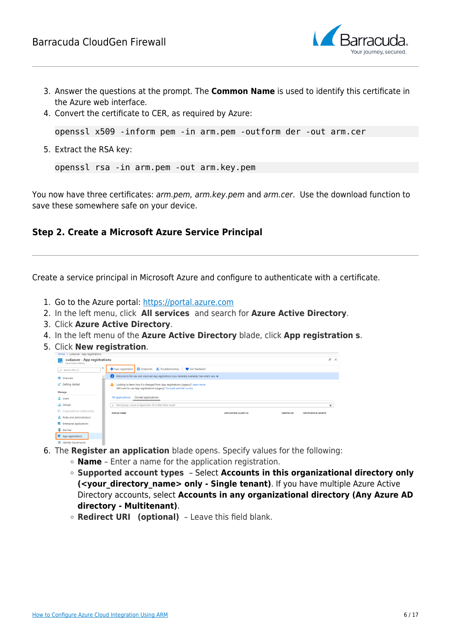

- 3. Answer the questions at the prompt. The **Common Name** is used to identify this certificate in the Azure web interface.
- 4. Convert the certificate to CER, as required by Azure:

```
openssl x509 -inform pem -in arm.pem -outform der -out arm.cer
```
5. Extract the RSA key:

```
openssl rsa -in arm.pem -out arm.key.pem
```
You now have three certificates: arm.pem, arm.key.pem and arm.cer. Use the download function to save these somewhere safe on your device.

#### **Step 2. Create a Microsoft Azure Service Principal**

Create a service principal in Microsoft Azure and configure to authenticate with a certificate.

- 1. Go to the Azure portal: [https://portal.azure.com](https://portal.azure.com/)
- 2. In the left menu, click **All services** and search for **Azure Active Directory**.
- 3. Click **Azure Active Directory**.
- 4. In the left menu of the **Azure Active Directory** blade, click **App registration s**.
- 5. Click **New registration**.



- 6. The **Register an application** blade opens. Specify values for the following:
	- **Name** Enter a name for the application registration.
		- **Supported account types**  Select **Accounts in this organizational directory only (<your directory name> only - Single tenant)**. If you have multiple Azure Active Directory accounts, select **Accounts in any organizational directory (Any Azure AD directory - Multitenant)**.
		- **Redirect URI (optional)**  Leave this field blank.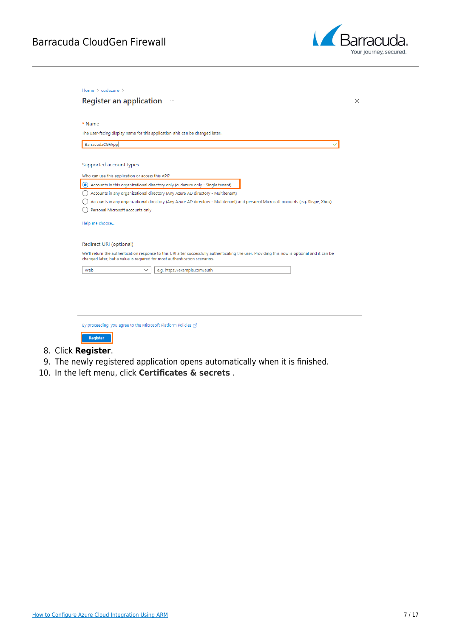

| The user-facing display name for this application (this can be changed later).<br>BarracudaCGFApp<br>Supported account types<br>Who can use this application or access this API?<br>$\odot$<br>Accounts in this organizational directory only (cudazure only - Single tenant)<br>Accounts in any organizational directory (Any Azure AD directory - Multitenant)<br>Personal Microsoft accounts only<br>Help me choose<br>Redirect URI (optional) | Accounts in any organizational directory (Any Azure AD directory - Multitenant) and personal Microsoft accounts (e.g. Skype, Xbox)<br>We'll return the authentication response to this URI after successfully authenticating the user. Providing this now is optional and it can be<br>changed later, but a value is required for most authentication scenarios.<br>Web<br>e.g. https://example.com/auth<br>$\checkmark$ | * Name |  |
|---------------------------------------------------------------------------------------------------------------------------------------------------------------------------------------------------------------------------------------------------------------------------------------------------------------------------------------------------------------------------------------------------------------------------------------------------|--------------------------------------------------------------------------------------------------------------------------------------------------------------------------------------------------------------------------------------------------------------------------------------------------------------------------------------------------------------------------------------------------------------------------|--------|--|
|                                                                                                                                                                                                                                                                                                                                                                                                                                                   |                                                                                                                                                                                                                                                                                                                                                                                                                          |        |  |
|                                                                                                                                                                                                                                                                                                                                                                                                                                                   |                                                                                                                                                                                                                                                                                                                                                                                                                          |        |  |
|                                                                                                                                                                                                                                                                                                                                                                                                                                                   |                                                                                                                                                                                                                                                                                                                                                                                                                          |        |  |
|                                                                                                                                                                                                                                                                                                                                                                                                                                                   |                                                                                                                                                                                                                                                                                                                                                                                                                          |        |  |
|                                                                                                                                                                                                                                                                                                                                                                                                                                                   |                                                                                                                                                                                                                                                                                                                                                                                                                          |        |  |
|                                                                                                                                                                                                                                                                                                                                                                                                                                                   |                                                                                                                                                                                                                                                                                                                                                                                                                          |        |  |
|                                                                                                                                                                                                                                                                                                                                                                                                                                                   |                                                                                                                                                                                                                                                                                                                                                                                                                          |        |  |
|                                                                                                                                                                                                                                                                                                                                                                                                                                                   |                                                                                                                                                                                                                                                                                                                                                                                                                          |        |  |
|                                                                                                                                                                                                                                                                                                                                                                                                                                                   |                                                                                                                                                                                                                                                                                                                                                                                                                          |        |  |
|                                                                                                                                                                                                                                                                                                                                                                                                                                                   |                                                                                                                                                                                                                                                                                                                                                                                                                          |        |  |
|                                                                                                                                                                                                                                                                                                                                                                                                                                                   |                                                                                                                                                                                                                                                                                                                                                                                                                          |        |  |
|                                                                                                                                                                                                                                                                                                                                                                                                                                                   |                                                                                                                                                                                                                                                                                                                                                                                                                          |        |  |
|                                                                                                                                                                                                                                                                                                                                                                                                                                                   |                                                                                                                                                                                                                                                                                                                                                                                                                          |        |  |
|                                                                                                                                                                                                                                                                                                                                                                                                                                                   |                                                                                                                                                                                                                                                                                                                                                                                                                          |        |  |

#### 8. Click **Register**.

- 9. The newly registered application opens automatically when it is finished.
- 10. In the left menu, click **Certificates & secrets** .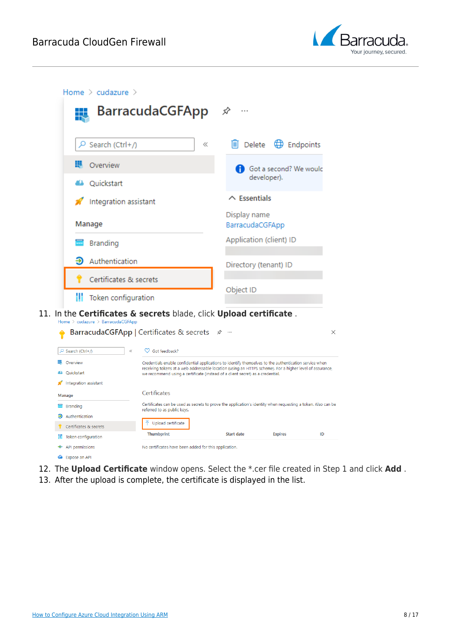



- 12. The **Upload Certificate** window opens. Select the \*.cer file created in Step 1 and click **Add** .
- 13. After the upload is complete, the certificate is displayed in the list.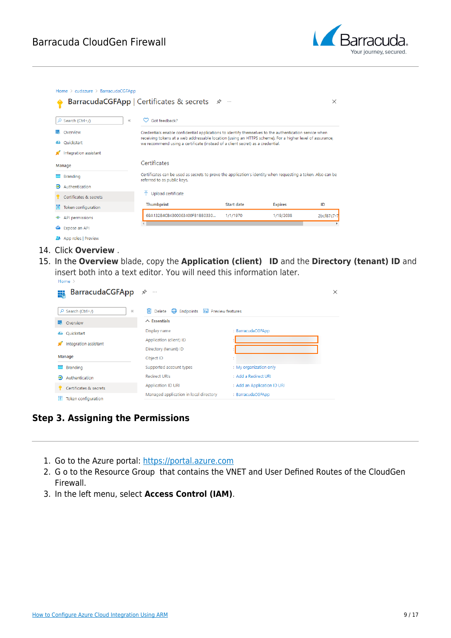

| Search (Ctrl+/)<br>Q     | $\ll$ | Got feedback?                                                                                                                                                                              |                   |                |            |
|--------------------------|-------|--------------------------------------------------------------------------------------------------------------------------------------------------------------------------------------------|-------------------|----------------|------------|
| Overview                 |       | Credentials enable confidential applications to identify themselves to the authentication service when                                                                                     |                   |                |            |
| Ouickstart<br>44         |       | receiving tokens at a web addressable location (using an HTTPS scheme). For a higher level of assurance,<br>we recommend using a certificate (instead of a client secret) as a credential. |                   |                |            |
| Integration assistant    |       |                                                                                                                                                                                            |                   |                |            |
| Manage                   |       | Certificates                                                                                                                                                                               |                   |                |            |
| Branding                 |       | Certificates can be used as secrets to prove the application's identity when requesting a token. Also can be<br>referred to as public keys.                                                |                   |                |            |
| ூ<br>Authentication      |       |                                                                                                                                                                                            |                   |                |            |
| Certificates & secrets   |       | Upload certificate<br>个                                                                                                                                                                    |                   |                |            |
| Token configuration<br>ш |       | Thumbprint                                                                                                                                                                                 | <b>Start date</b> | <b>Expires</b> | ID         |
| API permissions<br>-     |       | 69A132B4CB4300063400FB1BB0330                                                                                                                                                              | 1/1/1970          | 1/19/2038      | 2bcf87c7-7 |
| Expose an API<br>๛       |       |                                                                                                                                                                                            |                   |                |            |
| App roles   Preview      |       |                                                                                                                                                                                            |                   |                |            |

- 14. Click **Overview** .
- 15. In the **Overview** blade, copy the **Application (client) ID** and the **Directory (tenant) ID** and insert both into a text editor. You will need this information later.<br>
Home >

| <b>BarracudaCGFApp</b><br>₩    | ☆<br>$\cdots$                                                              |                             | X |
|--------------------------------|----------------------------------------------------------------------------|-----------------------------|---|
| $\rho$ Search (Ctrl+ $\Lambda$ | $\bigoplus$ Endpoints<br>П<br>Delete<br><b>A</b> Preview features<br>$\ll$ |                             |   |
| 摄<br>Overview                  | $\land$ Essentials                                                         |                             |   |
| Quickstart<br>44               | Display name                                                               | : BarracudaCGFApp           |   |
| Integration assistant          | Application (client) ID                                                    |                             |   |
|                                | Directory (tenant) ID                                                      |                             |   |
| Manage                         | Object ID                                                                  |                             |   |
| 忈<br>Branding                  | Supported account types                                                    | : My organization only      |   |
| Ð<br>Authentication            | Redirect URIs                                                              | : Add a Redirect URI        |   |
| Certificates & secrets         | <b>Application ID URI</b>                                                  | : Add an Application ID URI |   |
| Token configuration            | Managed application in local directory                                     | : BarracudaCGFApp           |   |

**Step 3. Assigning the Permissions**

- 1. Go to the Azure portal: [https://portal.azure.com](https://portal.azure.com/)
- 2. G o to the Resource Group that contains the VNET and User Defined Routes of the CloudGen Firewall.
- 3. In the left menu, select **Access Control (IAM)**.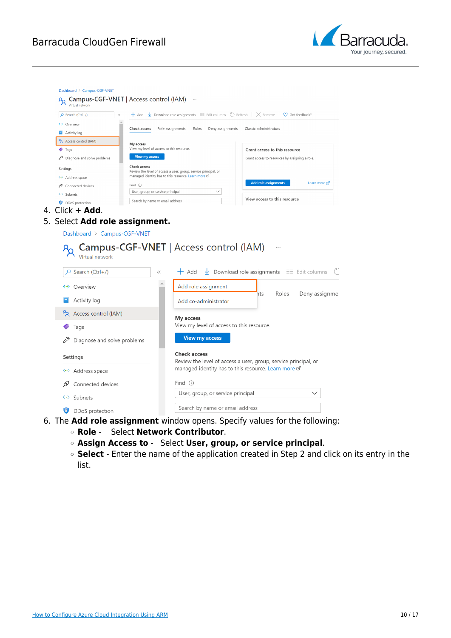

| Virtual network                                       |                                                                                                                                                   |                                                                                                                         |
|-------------------------------------------------------|---------------------------------------------------------------------------------------------------------------------------------------------------|-------------------------------------------------------------------------------------------------------------------------|
| O Search (Ctrl+/)                                     | $+$ Add $\vee$ Download role assignments $\equiv$ Edit columns $\circlearrowright$ Refresh $\mid$ $\times$ Remove $\mid \heartsuit$ Got feedback? |                                                                                                                         |
| <- > Overview                                         | Role assignments<br>Deny assignments<br>Check access<br>Roles                                                                                     | Classic administrators                                                                                                  |
| $\Box$ Activity log                                   |                                                                                                                                                   |                                                                                                                         |
| P <sub>R</sub> Access control (IAM)<br>$\bullet$ Tags | My access<br>View my level of access to this resource                                                                                             |                                                                                                                         |
| Diagnose and solve problems                           | View my access                                                                                                                                    | Grant access to this resource<br>Grant access to resources by assigning a role.                                         |
|                                                       | <b>Check access</b>                                                                                                                               |                                                                                                                         |
| Settings                                              | Review the level of access a user, group, service principal, or<br>managed identity has to this resource. Learn more of                           |                                                                                                                         |
| <-> Address space<br>Connected devices                | Find $\odot$                                                                                                                                      | <b>Add role assignments</b><br>Learn more [2]                                                                           |
| <-> Subnets                                           | User, group, or service principal<br>$\checkmark$                                                                                                 |                                                                                                                         |
| <b>DDoS</b> protection                                | Search by name or email address                                                                                                                   | View access to this resource                                                                                            |
| 4. Click $+$ Add.                                     |                                                                                                                                                   |                                                                                                                         |
| Dashboard > Campus-CGF-VNET<br>Virtual network        | <b>Campus-CGF-VNET</b>   Access control (IAM)                                                                                                     |                                                                                                                         |
| $O$ Search (Ctrl+/)                                   | $+$ Add<br>$\ll$                                                                                                                                  | Download role assignments $\equiv$ Edit columns                                                                         |
| 5. Select Add role assignment.<br>« Overview          | Add role assignment                                                                                                                               |                                                                                                                         |
| Activity log                                          | Add co-administrator                                                                                                                              | Deny assignmer<br>Roles<br>hts                                                                                          |
| Access control (IAM)                                  | My access                                                                                                                                         |                                                                                                                         |
| Tags                                                  | View my level of access to this resource.                                                                                                         |                                                                                                                         |
| Diagnose and solve problems                           | <b>View my access</b>                                                                                                                             |                                                                                                                         |
| Settings                                              | <b>Check access</b>                                                                                                                               |                                                                                                                         |
| <-> Address space                                     |                                                                                                                                                   | Review the level of access a user, group, service principal, or<br>managed identity has to this resource. Learn more of |
| Connected devices<br>ଙ                                | Find $\odot$                                                                                                                                      |                                                                                                                         |

- 6. The **Add role assignment** window opens. Specify values for the following:
	- **Role**  Select **Network Contributor**.
	- **Assign Access to** Select **User, group, or service principal**.
	- **Select**  Enter the name of the application created in Step 2 and click on its entry in the list.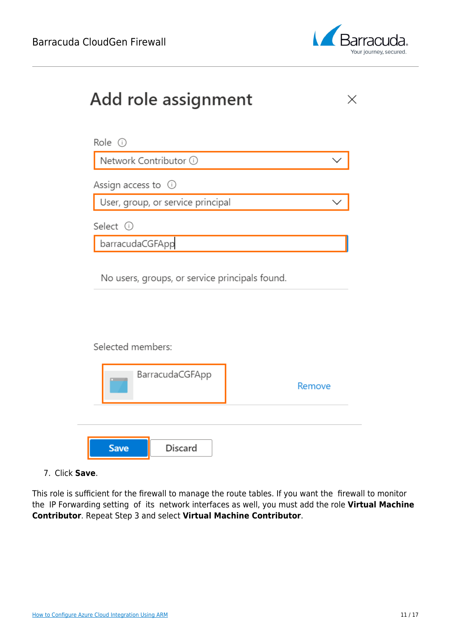

| Add role assignment                                                 |        |
|---------------------------------------------------------------------|--------|
| Role $\odot$                                                        |        |
| Network Contributor 1                                               |        |
| Assign access to $\odot$                                            |        |
| User, group, or service principal                                   |        |
| Select <sup>(j)</sup>                                               |        |
| barracudaCGFApp                                                     |        |
| No users, groups, or service principals found.<br>Selected members: |        |
| BarracudaCGFApp                                                     | Remove |
| <b>Discard</b><br><b>Save</b>                                       |        |

7. Click **Save**.

This role is sufficient for the firewall to manage the route tables. If you want the firewall to monitor the IP Forwarding setting of its network interfaces as well, you must add the role **Virtual Machine Contributor**. Repeat Step 3 and select **Virtual Machine Contributor**.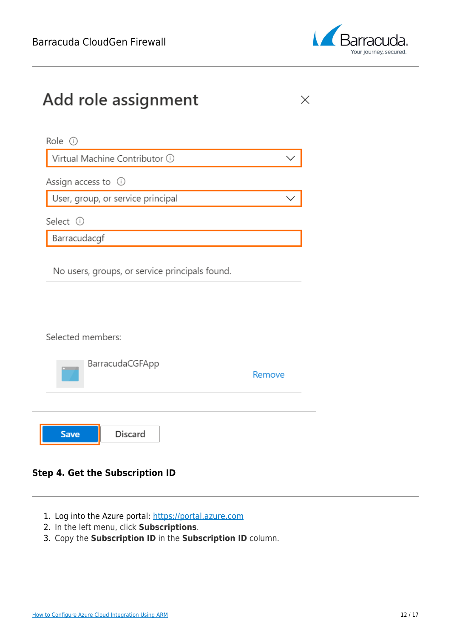

 $\times$ 

# Add role assignment

| Role $\odot$                      |  |
|-----------------------------------|--|
| Virtual Machine Contributor ①     |  |
| Assign access to $\odot$          |  |
| User, group, or service principal |  |
| Select ①                          |  |
| Barracudacgf                      |  |

No users, groups, or service principals found.

Selected members:

|             | BarracudaCGFApp | Remove |
|-------------|-----------------|--------|
|             |                 |        |
| <b>Save</b> | Discard         |        |

#### **Step 4. Get the Subscription ID**

- 1. Log into the Azure portal: [https://portal.azure.com](https://portal.azure.com/)
- 2. In the left menu, click **Subscriptions**.
- 3. Copy the **Subscription ID** in the **Subscription ID** column.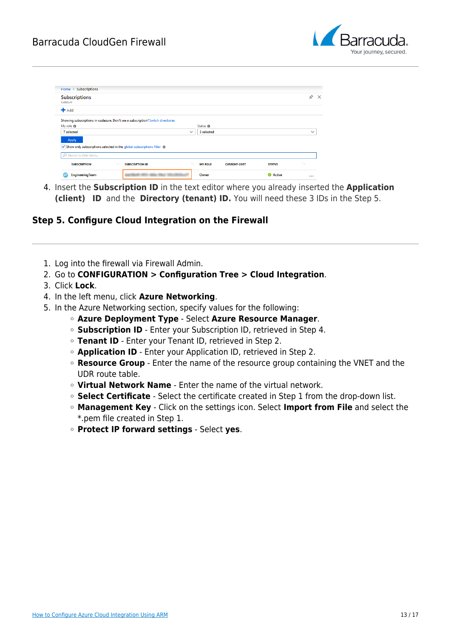

| <b>Subscriptions</b><br>cudazure |                                                                                 |              |                     |  |
|----------------------------------|---------------------------------------------------------------------------------|--------------|---------------------|--|
| $H$ Add                          |                                                                                 |              |                     |  |
|                                  | Showing subscriptions in cudazure. Don't see a subscription? Switch directories |              |                     |  |
| My role $\oplus$                 |                                                                                 |              | Status <sup>®</sup> |  |
|                                  |                                                                                 |              |                     |  |
| 7 selected                       |                                                                                 | $\checkmark$ | 3 selected          |  |
|                                  |                                                                                 |              |                     |  |
| Apply                            |                                                                                 |              |                     |  |
|                                  | √ Show only subscriptions selected in the global subscriptions filter (0        |              |                     |  |
| O Search to filter items         |                                                                                 |              |                     |  |

4. Insert the **Subscription ID** in the text editor where you already inserted the **Application (client) ID** and the **Directory (tenant) ID.** You will need these 3 IDs in the Step 5.

#### **Step 5. Configure Cloud Integration on the Firewall**

1. Log into the firewall via Firewall Admin.

- 2. Go to **CONFIGURATION > Configuration Tree > Cloud Integration**.
- 3. Click **Lock**.
- 4. In the left menu, click **Azure Networking**.
- 5. In the Azure Networking section, specify values for the following:
	- **Azure Deployment Type** Select **Azure Resource Manager**.
	- **Subscription ID** Enter your Subscription ID, retrieved in Step 4.
	- **Tenant ID** Enter your Tenant ID, retrieved in Step 2.
	- **Application ID** Enter your Application ID, retrieved in Step 2.
	- **Resource Group** Enter the name of the resource group containing the VNET and the UDR route table.
	- **Virtual Network Name** Enter the name of the virtual network.
	- **Select Certificate** Select the certificate created in Step 1 from the drop-down list.
	- **Management Key** Click on the settings icon. Select **Import from File** and select the \*.pem file created in Step 1.
	- **Protect IP forward settings** Select **yes**.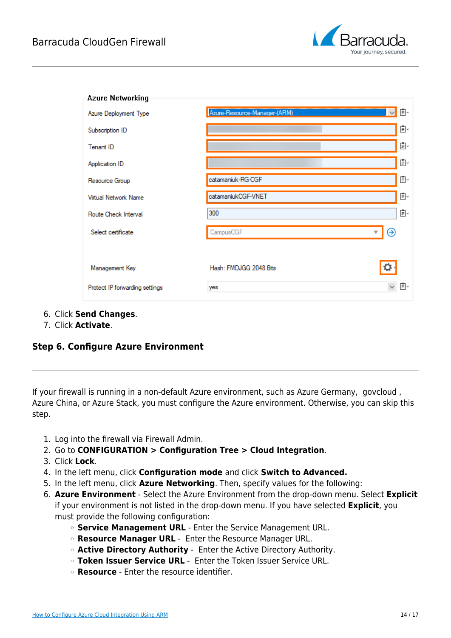

| <b>Azure Networking</b>        |                                              |    |
|--------------------------------|----------------------------------------------|----|
| Azure Deployment Type          | Azure-Resource-Manager-(ARM)<br>$\checkmark$ | Ō. |
| Subscription ID                |                                              | Ē× |
| Tenant ID                      |                                              | Ē× |
| Application ID                 |                                              | Ē× |
| Resource Group                 | catamaniuk-RG-CGF                            | Ē  |
| <b>Virtual Network Name</b>    | catamaniukCGF-VNET                           | Ē× |
| Route Check Interval           | 300                                          | Ē× |
| Select certificate             | ⊛<br>CampusCGF                               |    |
|                                |                                              |    |
| Management Key                 | Hash: FMDJGQ 2048 Bits                       |    |
| Protect IP forwarding settings | yes                                          | E۰ |
|                                |                                              |    |

- 6. Click **Send Changes**.
- 7. Click **Activate**.

#### **Step 6. Configure Azure Environment**

If your firewall is running in a non-default Azure environment, such as Azure Germany, govcloud , Azure China, or Azure Stack, you must configure the Azure environment. Otherwise, you can skip this step.

- 1. Log into the firewall via Firewall Admin.
- 2. Go to **CONFIGURATION > Configuration Tree > Cloud Integration**.
- 3. Click **Lock**.
- 4. In the left menu, click **Configuration mode** and click **Switch to Advanced.**
- 5. In the left menu, click **Azure Networking**. Then, specify values for the following:
- 6. **Azure Environment** Select the Azure Environment from the drop-down menu. Select **Explicit** if your environment is not listed in the drop-down menu. If you have selected **Explicit**, you must provide the following configuration:
	- **Service Management URL** Enter the Service Management URL.
	- **Resource Manager URL** Enter the Resource Manager URL.
	- **Active Directory Authority** Enter the Active Directory Authority.
	- **Token Issuer Service URL** Enter the Token Issuer Service URL.
	- **Resource** Enter the resource identifier.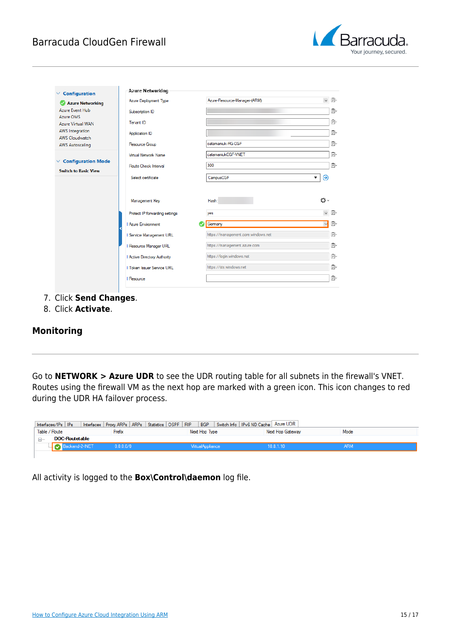

| Configuration<br>$\checkmark$                                            | <b>Azure Networking</b>              |                                     |                    |
|--------------------------------------------------------------------------|--------------------------------------|-------------------------------------|--------------------|
| Azure Networking                                                         | Azure Deployment Type                | Azure-Resource-Manager-(ARM)        | $\checkmark$<br>G. |
| Azure Event Hub<br>Azure OMS                                             | Subscription ID                      |                                     | Ē.                 |
| <b>Azure Virtual WAN</b>                                                 | Tenant ID                            |                                     | Ē                  |
| <b>AWS</b> Integration<br><b>AWS Cloudwatch</b>                          | Application ID                       |                                     | 目。                 |
| <b>AWS Autoscaling</b>                                                   | Resource Group                       | catamaniuk-RG-CGF                   | 目。                 |
|                                                                          | <b>Virtual Network Name</b>          | catamaniukCGF-VNET                  | Ē                  |
| <b>Configuration Mode</b><br>$\checkmark$<br><b>Switch to Basic View</b> | Route Check Interval                 | 300                                 | 目。                 |
|                                                                          | Select certificate                   | CampusCGF                           | ⊝<br>▼             |
|                                                                          |                                      | Hash:                               |                    |
|                                                                          | Management Key                       |                                     | ∽⊅                 |
|                                                                          | Protect IP forwarding settings       | yes                                 | $\checkmark$<br>G. |
|                                                                          | <b>Azure Environment</b>             | Germany                             | ■€<br>$\vee$       |
|                                                                          | <b>Il Service Management URL</b>     | https://management.core.windows.net | ß.                 |
|                                                                          | <b>Il Resource Manager URL</b>       | https://management.azure.com        | Ē.                 |
|                                                                          | <b>Il Active Directory Authority</b> | https://login.windows.net           | 目。                 |
|                                                                          | <b>Token Issuer Service URL</b>      | https://sts.windows.net             | 目。                 |

- 7. Click **Send Changes**.
- 8. Click **Activate**.

#### **Monitoring**

Go to **NETWORK > Azure UDR** to see the UDR routing table for all subnets in the firewall's VNET. Routes using the firewall VM as the next hop are marked with a green icon. This icon changes to red during the UDR HA failover process.

| Interfaces/IPs IPs    | Interfaces   Proxy ARPs   ARPs   Statistics   OSPF   RIP |                  | BGP Switch Info   IPv6 ND Cache   Azure UDR |  |
|-----------------------|----------------------------------------------------------|------------------|---------------------------------------------|--|
| Table / Route         | Prefix                                                   | Next Hop Type    | Mode<br>Next Hop Gateway                    |  |
| <b>DOC-Routetable</b> |                                                          |                  |                                             |  |
| Backend-2-INET        | 0.0.0.0/0                                                | VirtualAppliance | 10.8.1.10                                   |  |
|                       |                                                          |                  |                                             |  |

All activity is logged to the **Box\Control\daemon** log file.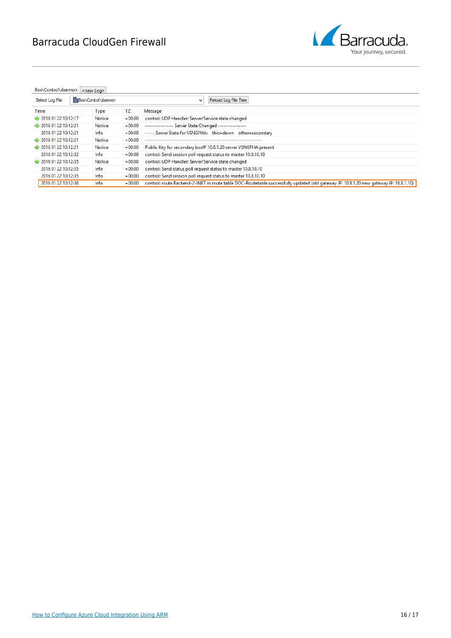

Box\Control\daemon <new Log>

| Select Log File                   | Box\Control\daemon<br>Reload Log File Tree<br>$\checkmark$ |               |          |                                                                                                                                        |  |
|-----------------------------------|------------------------------------------------------------|---------------|----------|----------------------------------------------------------------------------------------------------------------------------------------|--|
| Time                              |                                                            | Type          | TΖ       | Message                                                                                                                                |  |
| ₩ 2016 01 22 10:12:17             |                                                            | <b>Notice</b> | $+00:00$ | control: UDP Handler: Server/Service state changed                                                                                     |  |
| ₩ 2016 01 22 10:12:21             |                                                            | Notice        | $+00:00$ | -------------- Server State Changed ---------------                                                                                    |  |
| 2016 01 22 10:12:21               |                                                            | Info          | $+00:00$ | ----- Server State for VSNGFHA: this=down other=secondary                                                                              |  |
| ₩ 2016 01 22 10:12:21             |                                                            | Notice        | $+00:00$ |                                                                                                                                        |  |
| $\Rightarrow$ 2016 01 22 10:12:21 |                                                            | <b>Notice</b> | $+00:00$ | Public Key for secondary boxlP 10.8.1.20 server VSNGFHA present                                                                        |  |
| 2016 01 22 10:12:32               |                                                            | Info          | $+00:00$ | control: Send session poll request status to master 10.8.10.10                                                                         |  |
| $\Rightarrow$ 2016 01 22 10:12:35 |                                                            | Notice        | $+00:00$ | control: UDP Handler: Server/Service state changed                                                                                     |  |
| 2016 01 22 10:12:35               |                                                            | Info          | $+00:00$ | control: Send status poll request status to master 10.8.10.10                                                                          |  |
| 2016 01 22 10:12:35               |                                                            | Info          | $+00:00$ | control: Send session poll request status to master 10.8.10.10                                                                         |  |
| 2016 01 22 10:12:36               |                                                            | Info          | $+00:00$ | control: route Backend-2-INET in route table DOC-Routetable successfully updated (old gateway IP: 10.8.1.20 new gateway IP: 10.8.1.10) |  |